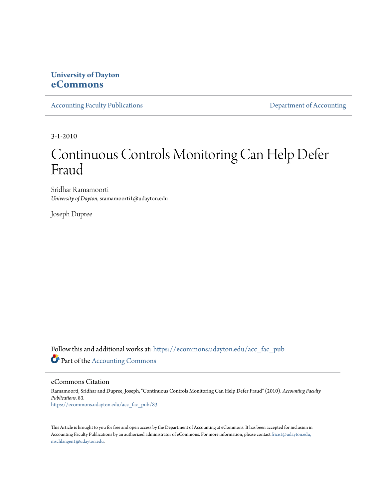# **University of Dayton [eCommons](https://ecommons.udayton.edu?utm_source=ecommons.udayton.edu%2Facc_fac_pub%2F83&utm_medium=PDF&utm_campaign=PDFCoverPages)**

[Accounting Faculty Publications](https://ecommons.udayton.edu/acc_fac_pub?utm_source=ecommons.udayton.edu%2Facc_fac_pub%2F83&utm_medium=PDF&utm_campaign=PDFCoverPages) **[Department of Accounting](https://ecommons.udayton.edu/acc?utm_source=ecommons.udayton.edu%2Facc_fac_pub%2F83&utm_medium=PDF&utm_campaign=PDFCoverPages)** 

3-1-2010

# Continuous Controls Monitoring Can Help Defer Fraud

Sridhar Ramamoorti *University of Dayton*, sramamoorti1@udayton.edu

Joseph Dupree

Follow this and additional works at: [https://ecommons.udayton.edu/acc\\_fac\\_pub](https://ecommons.udayton.edu/acc_fac_pub?utm_source=ecommons.udayton.edu%2Facc_fac_pub%2F83&utm_medium=PDF&utm_campaign=PDFCoverPages) Part of the [Accounting Commons](http://network.bepress.com/hgg/discipline/625?utm_source=ecommons.udayton.edu%2Facc_fac_pub%2F83&utm_medium=PDF&utm_campaign=PDFCoverPages)

eCommons Citation

Ramamoorti, Sridhar and Dupree, Joseph, "Continuous Controls Monitoring Can Help Defer Fraud" (2010). *Accounting Faculty Publications*. 83. [https://ecommons.udayton.edu/acc\\_fac\\_pub/83](https://ecommons.udayton.edu/acc_fac_pub/83?utm_source=ecommons.udayton.edu%2Facc_fac_pub%2F83&utm_medium=PDF&utm_campaign=PDFCoverPages)

This Article is brought to you for free and open access by the Department of Accounting at eCommons. It has been accepted for inclusion in Accounting Faculty Publications by an authorized administrator of eCommons. For more information, please contact [frice1@udayton.edu,](mailto:frice1@udayton.edu,%20mschlangen1@udayton.edu) [mschlangen1@udayton.edu.](mailto:frice1@udayton.edu,%20mschlangen1@udayton.edu)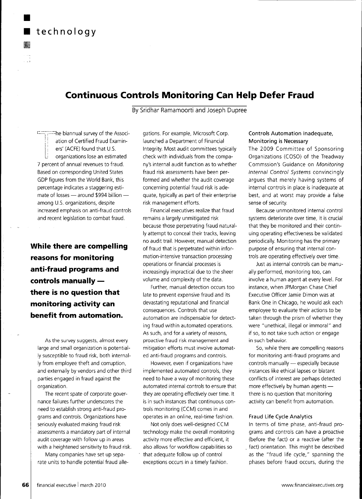

▓

# **Continuous Controls Monitoring Can Help Defer Fraud**

By Sridhar Ramamoorti and Joseph Dupree

he biannual survey of the Association of Certified Fraud Examiners' (ACFE) found that U.S. organizations lose an estimated 7 percent of annual revenues to fraud. Based on corresponding United States GDP figures from the Worid Bank, this percentage indicates a staggering estimate of losses — around \$994 billion among U.S. organizations, despite increased emphasis on anti-fraud controls and recent legislation to combat fraud.

**While there are compelling reasons for monitoring anti-fraud programs and controls manually there is no question that monitoring activity can benefit from automation.**

As the survey suggests, almost every large and small organization is potentially susceptible to fraud risk, both internally from employee theft and corruption, and externally by vendors and other third parties engaged in fraud against the organization.

The recent spate of corporate governance failures further underscores the need to establish strong anti-fraud programs and controls. Organizations have seriously evaluated making fraud risk assessments a mandatory part of internal audit coverage with follow up in areas with a heightened sensitivity to fraud risk.

Many companies have set up separate units to handle potential fraud allegations. For example, Microsoft Corp. launched a Department of Financial Integrity. Most audit committees typically check with individuals from the company's internal audit function as to whether fraud risk assessments have been performed and whether the audit coverage concerning potential fraud risk is adequate, typically as part of their enterprise risk management efforts.

Financial executives realize that fraud remains a largely unmitigated risk because those perpetrating fraud naturally attempt to conceal their tracks, leaving no audit trail. However, manual detection of fraud that is perpetrated within information-intensive transaction processing operations or financial processes is increasingly impractical due to the sheer volume and complexity of the data.

Further, manual detection occurs too late to prevent expensive fraud and its devastating reputational and financial consequences. Controls that use automation are indispensable for detecting fraud within automated operations. As such, and for a variety of reasons, proactive fraud risk management and mitigation efforts must involve automated anti-fraud programs and controls.

However, even if organizations have implemented automated controls, they need to have a way of monitoring these automated internal controls to ensure that they are operating effectively over time. It is in such instances that continuous controls monitoring (CCM) comes in and operates in an online, real-time fashion.

Not only does well-designed CCM technology make the overall monitoring activity more effective and efficient, it also allows for workflow capabilities so • that adequate follow up of control exceptions occurs in a timely fashion.

## **Controls Automation Inadequate, Monitoring is Necessary**

The 2009 Committee of Sponsoring Organizations (COSO) of the Treadway Commssion's Guidance on Monitoring Internal Control Systems convincingly argues that merely having systems of internal controls in place is inadequate at best, and at worst may provide a false sense of security.

Because unmonitored internal control systems deteriorate over time, it is crucial that they be monitored and their continuing operating effectiveness be validated periodically. Monitoring has the primary purpose of ensuring that internal controls are operating effectively over time.

Just as internal controls can be manually performed, monitoring too, can involve a human agent at every level. For instance, when JPMorgan Chase Chief Executive Officer Jamie Dimon was at Bank One in Chicago, he would ask each employee to evaluate their actions to be taken through the prism of whether they were "unethical, illegal or immoral" and if so, to not take such action or engage in such behavior.

So, while there are compelling reasons for monitoring anti-fraud programs and controls manually — especially because instances like ethical lapses or blatant conflicts of interest are perhaps detected more effectively by human agents there is no question that monitoring activity can benefit from automation.

#### **Fraud Life Cycle Analytics**

In terms of time phase, anti-fraud programs and controls can have a proactive (before the fact) or a reactive (after the fact) orientation. This might be described as the "fraud life cycle," spanning the phases before fraud occurs, during the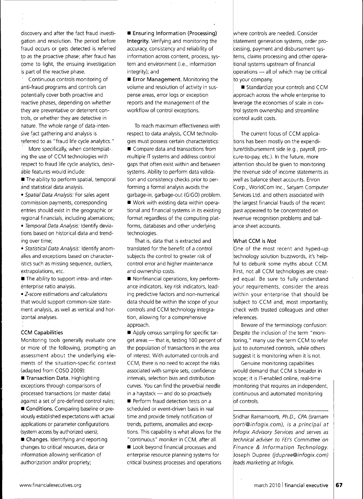discovery and after the fact fraud investigation and resolution. The period before fraud occurs or gets detected is referred to as the proactive phase; after fraud has come to light, the ensuing investigation is part of the reactive phase.

' Continuous controls monitoring of anti-fraud programs and controls can potentially cover both proactive and reactive phases, depending on whether they are preventative or deterrent controls, or whether they are detective in nature. The whole range of data-intensive fact gathering and analysis is referred to as "fraud life cycle analytics."

More specifically, when contemplat-. ing the use of CCM technologies with respect to fraud life cycle analytics, desirable features would include:

 $\blacksquare$  The ability to perform spatial, temporal and statistical data analysis.

• Spatial Data Analysis: For sales agent commission payments, corresponding entries should exist in the geographic or regional financials, including aberrations;

• Temporal Data Analysis: Identify deviations based on historical data and trending over time;

• Statistical Data Analysis: Identify anomalies and exceptions based on characteristics such as missing sequence, outliers, extrapolations, etc.

 $\blacksquare$  The ability to support intra- and interenterprise ratio analysis.

• Z-score estimations and calculations that would support common-size statement analysis, as well as vertical and horizontal analyses.

## **CCM Capabilities**

Monitoring tools generally evaluate one or more of the following, prompting an assessment about the underlying elements of the situation-specific context (adapted from COSO 2009):

**• Transaction Data. Highlighting** exceptions through comparisons of processed transactions (or master data) against a set of pre-defined control rules;

 $\blacksquare$  Conditions. Comparing baseline or previously established expectations with actual applications or parameter configurations (system access by authorized users);

• **Changes.** Identifying and reporting changes to critical resources, data or information allowing verification of authorization and/or propriety;

**• Ensuring Information (Processing) Integrity.** Verifying and monitoring the accuracy, consistency and reliability of information across content, process, system and environment (i.e., information integrity); and

**• Error Management.** Monitoring the volume and resolution of activity in suspense areas, error logs or exception reports and the management of the workflow of control exceptions.

To reach maximum effectiveness with respect to data analysis, CCM technologies must possess certain characteristics: **• Compare data and transactions from** multiple IT systems and address control gaps that often exist within and between systems. Ability to perform data validation and consistency checks prior to performing a formal analysis avoids the garbage-in, garbage-out (GIGO) problem. • Work with existing data within operational and financial systems in its existing format regardless of the computing platforms, databases and other underlying technologies.

That is, data that is extracted and translated for the benefit of a control subjects the control to greater risk of control error and higher maintenance and ownership costs.

• Nonfinancial operations, key performance indicators, key risk indicators, leading predictive factors and non-numerical data should be within the scope of your controls and CCM technology integration, allowing for a comprehensive approach.

**• Apply census sampling for specific tar**get areas — that is, testing 100 percent of the population of transactions in the area of interest. With automated controls and CCM, there is no need to accept the risks associated with sample sets, confidence intervals, selection bias and distribution curves. You can find the proverbial needle in a haystack — and do so proactively. **• Perform fraud detection tests on a** scheduled or event-driven basis in real time and provide timely notification of trends, patterns, anomalies and exceptions. This capability is what allows for the "continuous" moniker in CCM, after all.  $\blacksquare$  Look beyond financial processes and

enterprise resource planning systems for critical business processes and operations

where controls are needed. Consider statement generation systems, order pro-:essing, payment and disbursement systems, claims processing and other operational systems upstream of financial operations — all of which may be critical ito your company.

**E** Standardize your controls and CCM approach across the whole enterprise to leverage the economies of scale in control system ownership and streamline control audit costs.

The current focus of CCM applications has been mostly on the expenditure/disbursement side (e.g., payroll, procure-to-pay, etc.). In the future, more attention should be given to monitoring |the revenue side of income statements as well as balance sheet accounts. Enron Corp., WorldCom Inc., Satyam Computer Services Ltd. and others associated with the largest financial frauds of the recent past appeared to be concentrated on revenue recognition problems and balance sheet accounts.

## **What CCM is Not**

One of the most recent and hyped-up technology solution buzzwords, it's helpful to debunk some myths about CCM. First, not all CCM technologies are created equal. Be sure to fully understand your requirements, consider the areas within your enterprise that should be subject to CCM and, most importantly, check with trusted colleagues and other references.

Beware of the terminology confusion: Despite the inclusion of the term "monitoring," many use the term CCM to refer just to automated controls, while others suggest it is monitoring when it is not.

Genuine monitoring capabilities would demand that CCM is broader in scope; it is IT-enabled online, real-time monitoring that requires an independent, continuous and automated monitoring of controls.

Sridhar Ramamoorti, Ph.D., CPA (sramam oorti@infogix.com), is a principal at 'Infogix Advisory Services and serves as technical adviser to FEI's Committee on Finance & Information Technology. Joseph Dupree (jdupree@infogix.com) leads marketing at Infogix.